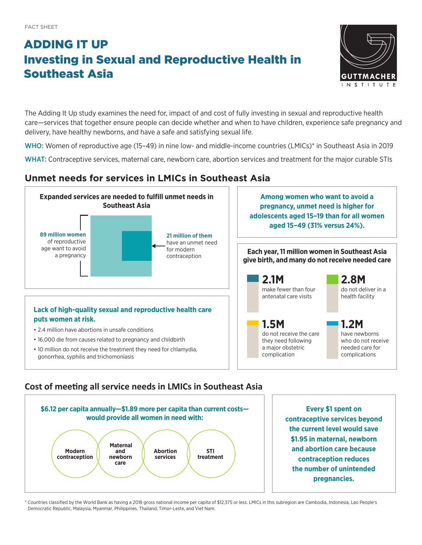# ADDING IT UP Investing in Sexual and Reproductive Health in Southeast Asia



The Adding It Up study examines the need for, impact of and cost of fully investing in sexual and reproductive health care—services that together ensure people can decide whether and when to have children, experience safe pregnancy and delivery, have healthy newborns, and have a safe and satisfying sexual life.

WHO: Women of reproductive age (15–49) in nine low- and middle-income countries (LMICs)\* in Southeast Asia in 2019

WHAT: Contraceptive services, maternal care, newborn care, abortion services and treatment for the major curable STIs

## **Unmet needs for services in LMICs in Southeast Asia**



### **Cost of meeting all service needs in LMICs in Southeast Asia**



\* Countries classified by the World Bank as having a 2018 gross national income per capita of \$12,375 or less. LMICs in this subregion are Cambodia, Indonesia, Lao People's Democratic Republic, Malaysia, Myanmar, Philippines, Thailand, Timor-Leste, and Viet Nam.